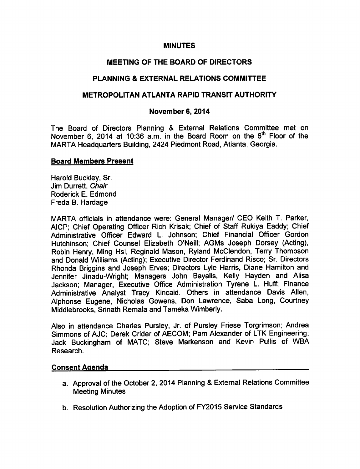### **MINUTES**

### MEETING OF THE BOARD OF DIRECTORS

### PLANNING & EXTERNAL RELATIONS COMMITTEE

#### METROPOLITAN ATLANTA RAPID TRANSIT AUTHORITY

#### November 6, 2014

The Board of Directors Planning & External Relations Committee met on November 6, 2014 at 10:36 a.m. in the Board Room on the  $6<sup>th</sup>$  Floor of the MARTA Headquarters Building, 2424 Piedmont Road, Atlanta, Georgia.

#### Board Members Present

Harold Buckley, Sr. Jim Durrett, Chair Roderick E. Edmond Freda B. Hardage

MARTA officials in attendance were: General Manager/ CEO Keith T. Parker, AICP; Chief Operating Officer Rich Krisak; Chief of Staff Rukiya Eaddy; Chief Administrative Officer Edward L. Johnson; Chief Financial Officer Gordon Hutchinson; Chief Counsel Elizabeth O'Neill; AGMs Joseph Dorsey (Acting), Robin Henry, Ming Hsi, Reginald Mason, Ryland McClendon, Terry Thompson and Donald Williams (Acting); Executive Director Ferdinand Risco; Sr. Directors Rhonda Briggins and Joseph Erves; Directors Lyle Harris, Diane Hamilton and Jennifer Jinadu-Wright; Managers John Bayalis, Kelly Hayden and Alisa Jackson; Manager, Executive Office Administration Tyrene L. Huff; Finance Administrative Analyst Tracy Kincaid. Others in attendance Davis Allen, Alphonse Eugene, Nicholas Gowens, Don Lawrence, Saba Long, Courtney Middlebrooks, Srinath Remala and Tameka Wimberly.

Also in attendance Charles Pursley, Jr. of Pursley Friese Torgrimson; Andrea Simmons of AJC; Derek Crider of AECOM; Pam Alexander of LTK Engineering; Jack Buckingham of MATC; Steve Markenson and Kevin Pullis of WBA Research.

#### Consent Agenda

- a. Approval of the October 2, 2014 Planning & External Relations Committee Meeting Minutes
- b. Resolution Authorizing the Adoption of FY2015 Service Standards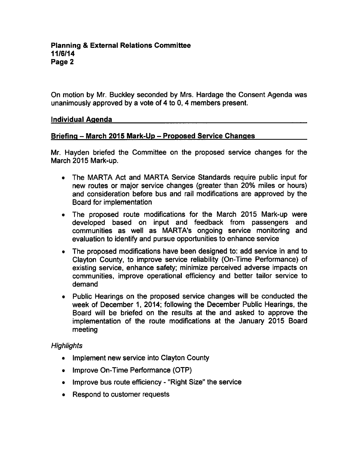On motion by Mr. Buckley seconded by Mrs. Hardage the Consent Agenda was unanimously approved by a vote of  $4$  to  $0$ ,  $4$  members present.

#### Individual Agenda

### Briefing - March 2015 Mark-Up - Proposed Service Changes

Mr. Hayden briefed the Committee on the proposed service changes for the March 2015 Mark-up.

- The MARTA Act and MARTA Service Standards require public input for new routes or major service changes (greater than 20% miles or hours) and consideration before bus and rail modifications are approved by the Board for implementation
- The proposed route modifications for the March 2015 Mark-up were developed based on input and feedback from passengers and communities as well as MARTA's ongoing service monitoring and evaluation to identify and pursue opportunities to enhance service
- The proposed modifications have been designed to: add service in and to Clayton County, to improve service reliability (On-Time Performance) of existing service, enhance safety; minimize perceived adverse impacts on communities, improve operational efficiency and better tailor service to demand
- Public Hearings on the proposed service changes will be conducted the week of December 1, 2014; following the December Public Hearings, the Board will be briefed on the results at the and asked to approve the implementation of the route modifications at the January 2015 Board meeting

### **Highlights**

- Implement new service into Clayton County
- Improve On-Time Performance (OTP)
- Improve bus route efficiency "Right Size" the service
- Respond to customer requests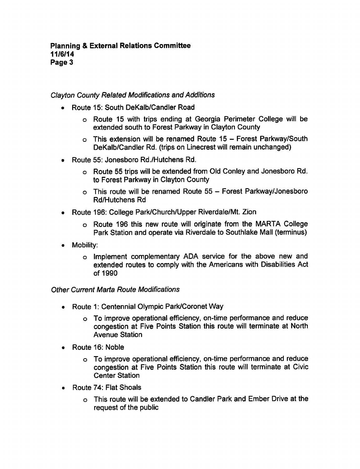### Clayton County Related Modifications and Additions

- Route 15: South DeKalb/Candler Road
	- Route 15 with trips ending at Georgia Perimeter College will be extended south to Forest Parkway in Clayton County
	- $\circ$  This extension will be renamed Route 15 Forest Parkway/South DeKalb/Candler Rd. (trips on Linecrest will remain unchanged)
- Route 55: Jonesboro Rd./Hutchens Rd.
	- Route 55 trips will be extended from Old Conley and Jonesboro Rd. to Forest Parkway in Clayton County
	- $\circ$  This route will be renamed Route 55 Forest Parkway/Jonesboro Rd/Hutchens Rd
- Route 196: College Park/Church/Upper Riverdale/Mt. Zion
	- Route 196 this new route will originate from the MARTA College Park Station and operate via Riverdale to Southlake Mall (terminus)
- Mobility:  $\bullet$ 
	- Implement complementary ADA service for the above new and extended routes to comply with the Americans with Disabilities Act of 1990

### **Other Current Marta Route Modifications**

- Route 1: Centennial Olympic Park/Coronet Way
	- To improve operational efficiency, on-time performance and reduce congestion at Five Points Station this route will terminate at North Avenue Station
- Route 16: Noble
	- To improve operational efficiency, on-time performance and reduce congestion at Five Points Station this route will terminate at Civic Center Station
- Route 74: Flat Shoals
	- This route will be extended to Candler Park and Ember Drive at the request of the public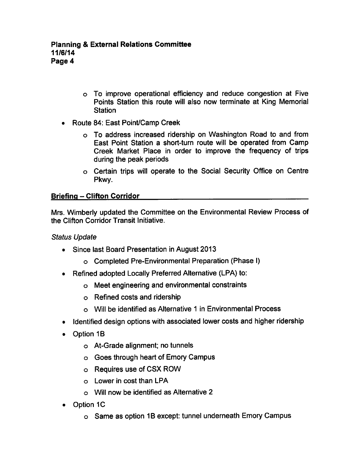- To improve operational efficiency and reduce congestion at Five Points Station this route will also now terminate at King Memorial **Station**
- Route 84: East Point/Camp Creek  $\bullet$ 
	- To address increased ridership on Washington Road to and from East Point Station a short-turn route will be operated from Camp Creek Market Place in order to improve the frequency of trips during the peak periods
	- Certain trips will operate to the Social Security Office on Centre Pkwy.

# **Briefing – Clifton Corridor**

Mrs. Wimberly updated the Committee on the Environmental Review Process of the Clifton Corridor Transit Initiative.

Status Update

- Since last Board Presentation in August 2013
	- Completed Pre-Environmental Preparation (Phase I)
- Refined adopted Locally Preferred Alternative (LPA) to:
	- Meet engineering and environmental constraints
	- Refined costs and ridership
	- o Will be identified as Alternative 1 in Environmental Process
- Identified design options with associated lower costs and higher ridership
- Option 1B
	- At-Grade alignment; no tunnels
	- Goes through heart of Emory Campus
	- Requires use of CSX ROW
	- o Lower in cost than LPA
	- Will now be identified as Alternative
- Option 1C
	- Same as option 1B except: tunnel underneath Emory Campus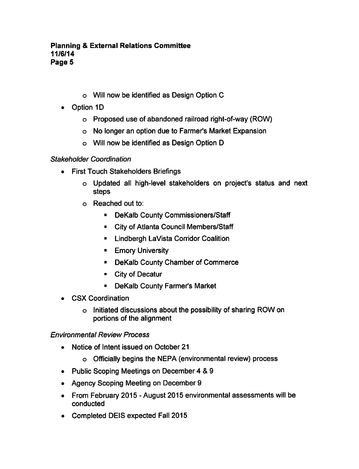- Will now be identified as Design Option
- Option 1D  $\bullet$ 
	- Proposed use of abandoned railroad right-of-way (ROW)
	- No longer an option due to Farmer's Market Expansion
	- Will now be identified as Design Option

# Stakeholder Coordination

- First Touch Stakeholders Briefings
	- Updated all high-level stakeholders on project's status and next steps
	- Reached out to:
		- DeKalb County Commissioners/Staff
		- City of Atlanta Council Members/Staff
		- **E.** Lindbergh LaVista Corridor Coalition
		- **Emory University**
		- DeKalb County Chamber of Commerce
		- City of Decatur
		- DeKalb County Farmer's Market
- CSX Coordination
	- o Initiated discussions about the possibility of sharing ROW on portions of the alignment

# Environmental Review Process

- Notice of Intent issued on October 21  $\bullet$ 
	- Officially begins the NEPA (environmental review) process
- Public Scoping Meetings on December 4 & 9
- Agency Scoping Meeting on December 9
- From February 2015 August 2015 environmental assessments will be conducted
- Completed DEIS expected Fall 2015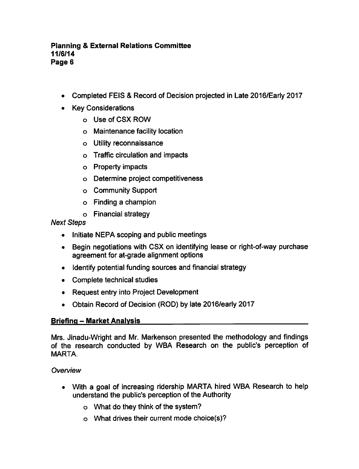- Completed FEIS Record of Decision projected in Late 2016/Early 2017
- Key Considerations
	- o Use of CSX ROW
	- Maintenance facility location
	- Utility reconnaissance
	- Traffic circulation and impacts
	- Property impacts
	- Determine project competitiveness
	- Community Support
	- $\circ$  Finding a champion
	- Financial strategy

Next Steps

- Initiate NEPA scoping and public meetings
- Begin negotiations with CSX on identifying lease or right-of-way purchase agreement for at-grade alignment options
- Identify potential funding sources and financial strategy
- Complete technical studies
- Request entry into Project Development
- Obtain Record of Decision (ROD) by late 2016/early 2017

# Briefing - Market Analysis

Mrs. Jinadu-Wright and Mr. Markenson presented the methodology and findings of the research conducted by WBA Research on the public's perception of MARTA.

# **Overview**

- With a goal of increasing ridership MARTA hired WBA Research to help understand the public's perception of the Authority
	- What do they think of the system?
	- What drives their current mode choice(s)?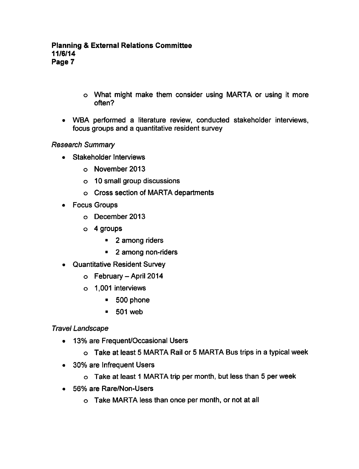- What might make them consider using MARTA or using it more often?
- WBA performed a literature review, conducted stakeholder interviews, focus groups and a quantitative resident survey

# Research Summary

- Stakeholder Interviews
	- November 2013
	- 10 small group discussions
	- Cross section of MARTA departments
- Focus Groups
	- December 2013
	- o 4 groups
		- 2 among riders
		- $\blacksquare$  2 among non-riders
- Quantitative Resident Survey
	- $\circ$  February April 2014
	- 1,001 interviews
		- 500 phone
		- 501 web

### Travel Landscape

- 13% are Frequent/Occasional Users
	- $\circ$  Take at least 5 MARTA Rail or 5 MARTA Bus trips in a typical week
- 30% are Infrequent Users
	- $\circ$  Take at least 1 MARTA trip per month, but less than 5 per week
- 56% are Rare/Non-Users
	- o Take MARTA less than once per month, or not at all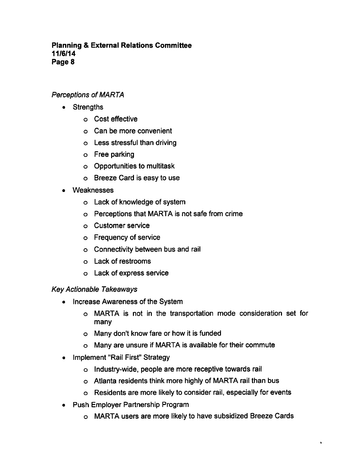### Perceptions of MARTA

- Strengths
	- Cost effective
	- Can be more convenient
	- Less stressful than driving
	- o Free parking
	- Opportunities to multitask
	- Breeze Card is easy to use
- Weaknesses
	- Lack of knowledge of system
	- Perceptions that MARTA is not safe from crime
	- Customer service
	- Frequency of service
	- Connectivity between bus and rail
	- Lack of restrooms
	- Lack of express service

### Key Actionable Takeaways

- Increase Awareness of the System  $\bullet$ 
	- MARTA is not in the transportation mode consideration set for many
	- Many don't know fare or how it is funded
	- Many are unsure if MARTA is available for their commute
- Implement "Rail First" Strategy
	- Industry-wide, people are more receptive towards rail
	- Atlanta residents think more highly of MARTA rail than bus
	- Residents are more likely to consider rail, especially for events
- Push Employer Partnership Program
	- MARTA users are more likely to have subsidized Breeze Cards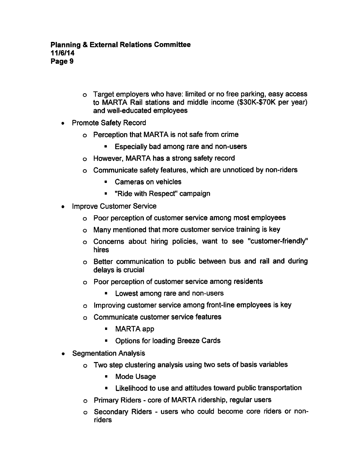- Target employers who have: limited or no free parking, easy access to MARTA Rail stations and middle income (\$30K-\$70K per year) and well-educated employees
- Promote Safety Record
	- Perception that MARTA is not safe from crime
		- Especially bad among rare and non-users
	- o However, MARTA has a strong safety record
	- Communicate safety features, which are unnoticed by non-riders
		- Cameras on vehicles
		- "Ride with Respect" campaign  $\blacksquare$
- Improve Customer Service
	- Poor perception of customer service among most employees
	- Many mentioned that more customer service training is key
	- Concerns about hiring policies, want to see "customer-friendly" hires
	- Better communication to public between bus and rail and during delays is crucial
	- Poor perception of customer service among residents
		- **Lowest among rare and non-users**
	- Improving customer service among front-line employees is key
	- Communicate customer service features
		- MARTA app
		- Options for loading Breeze Cards
- Segmentation Analysis
	- Two step clustering analysis using two sets of basis variables
		- **Mode Usage**
		- Likelihood to use and attitudes toward public transportation
	- o Primary Riders core of MARTA ridership, regular users
	- o Secondary Riders users who could become core riders or nonriders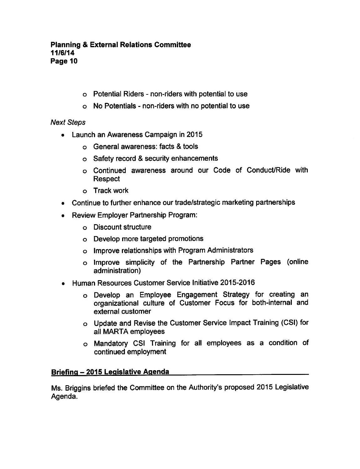- $\circ$  Potential Riders non-riders with potential to use
- $\circ$  No Potentials non-riders with no potential to use

# Next Steps

- Launch an Awareness Campaign in 2015
	- o General awareness: facts & tools
	- $\circ$  Safety record & security enhancements
	- Continued awareness around our Code of Conduct/Ride with Respect
	- o Track work
- Continue to further enhance our trade/strategic marketing partnerships  $\bullet$
- Review Employer Partnership Program:  $\bullet$ 
	- Discount structure
	- Develop more targeted promotions
	- Improve relationships with Program Administrators
	- o Improve simplicity of the Partnership Partner Pages (online administration)
- Human Resources Customer Service Initiative 2015-2016  $\bullet$ 
	- Develop an Employee Engagement Strategy for creating an organizational culture of Customer Focus for both-internal and external customer
	- Update and Revise the Customer Service Impact Training (CSI) for all MARTA employees
	- Mandatory CSI Training for all employees as condition of continued employment

# Briefing - 2015 Legislative Agenda

Ms. Briggins briefed the Committee on the Authority's proposed 2015 Legislative Agenda.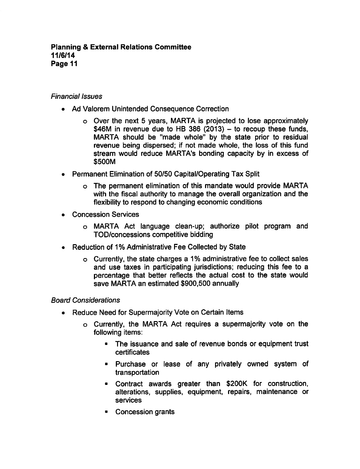### Financial Issues

- Ad Valorem Unintended Consequence Correction
	- o Over the next 5 years, MARTA is projected to lose approximately \$46M in revenue due to HB 386 (2013)  $-$  to recoup these funds, MARTA should be "made whole" by the state prior to residual revenue being dispersed; if not made whole, the loss of this fund stream would reduce MARTA's bonding capacity by in excess of \$500M
- Permanent Elimination of 50/50 Capital/Operating Tax Split
	- The permanent elimination of this mandate would provide MARTA with the fiscal authority to manage the overall organization and the flexibility to respond to changing economic conditions
- Concession Services
	- MARTA Act language clean-up; authorize pilot program and TOD/concessions competitive bidding
- Reduction of 1% Administrative Fee Collected by State
	- $\circ$  Currently, the state charges a 1% administrative fee to collect sales and use taxes in participating jurisdictions; reducing this fee to a percentage that better reflects the actual cost to the state would save MARTA an estimated \$900,500 annually

### Board Considerations

- Reduce Need for Supermajority Vote on Certain Items
	- o Currently, the MARTA Act requires a supermajority vote on the following items:
		- The issuance and sale of revenue bonds or equipment trust certificates
		- **Purchase or lease of any privately owned system of** transportation
		- Contract awards greater than \$200K for construction, alterations, supplies, equipment, repairs, maintenance or services
		- Concession grants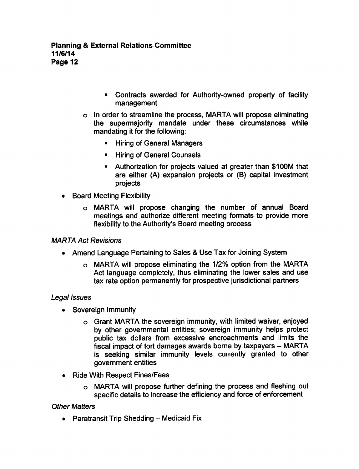- Contracts awarded for Authority-owned property of facility management
- In order to streamline the process, MARTA will propose eliminating the supermajority mandate under these circumstances while mandating it for the following:
	- Hiring of General Managers
	- Hiring of General Counsels  $\blacksquare$
	- Authorization for projects valued at greater than \$100M that are either (A) expansion projects or (B) capital investment projects
- Board Meeting Flexibility
	- MARTA will propose changing the number of annual Board meetings and authorize different meeting formats to provide more flexibility to the Authority's Board meeting process

### MARTA Act Revisions

- Amend Language Pertaining to Sales & Use Tax for Joining System
	- MARTA will propose eliminating the 1/2% option from the MARTA Act language completely, thus eliminating the lower sales and use tax rate option permanently for prospective jurisdictional partners

### Legal Issues

- Sovereign Immunity
	- Grant MARTA the sovereign immunity, with limited waiver, enjoyed by other governmental entities; sovereign immunity helps protect public tax dollars from excessive encroachments and limits the fiscal impact of tort damages awards borne by taxpayers - MARTA is seeking similar immunity levels currently granted to other government entities
- Ride With Respect Fines/Fees
	- MARTA will propose further defining the process and fleshing out  $\circ$ specific details to increase the efficiency and force of enforcement

### **Other Matters**

• Paratransit Trip Shedding  $-$  Medicaid Fix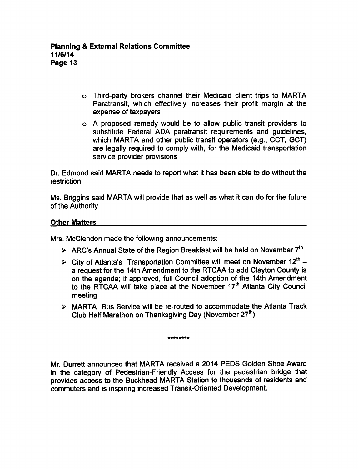- Third-party brokers channel their Medicaid client trips to MARTA Paratransit, which effectively increases their profit margin at the expense of taxpayers
- o A proposed remedy would be to allow public transit providers to substitute Federal ADA paratransit requirements and guidelines, which MARTA and other public transit operators (e.g., CCT, GCT) are legally required to comply with, for the Medicaid transportation service provider provisions

Dr. Edmond said MARTA needs to report what it has been able to do without the restriction.

Ms. Briggins said MARTA will provide that as well as what it can do for the future of the Authority.

### Other Matters

Mrs. McClendon made the following announcements:

- $\triangleright$  ARC's Annual State of the Region Breakfast will be held on November 7<sup>th</sup>
- $\triangleright$  City of Atlanta's Transportation Committee will meet on November 12<sup>th</sup> a request for the 14th Amendment to the RTCAA to add Clayton County is on the agenda; if approved, full Council adoption of the 14th Amendment to the RTCAA will take place at the November 17<sup>th</sup> Atlanta City Council meeting
- MARTA Bus Service will be re-routed to accommodate the Atlanta Track Club Half Marathon on Thanksgiving Day (November  $27<sup>th</sup>$ )

\*\*\*\*\*\*\*\*

Mr. Durrett announced that MARTA received a 2014 PEDS Golden Shoe Award in the category of Pedestrian-Friendly Access for the pedestrian bridge that provides access to the Buckhead MARTA Station to thousands of residents and commuters and is inspiring increased Transit-Oriented Development.